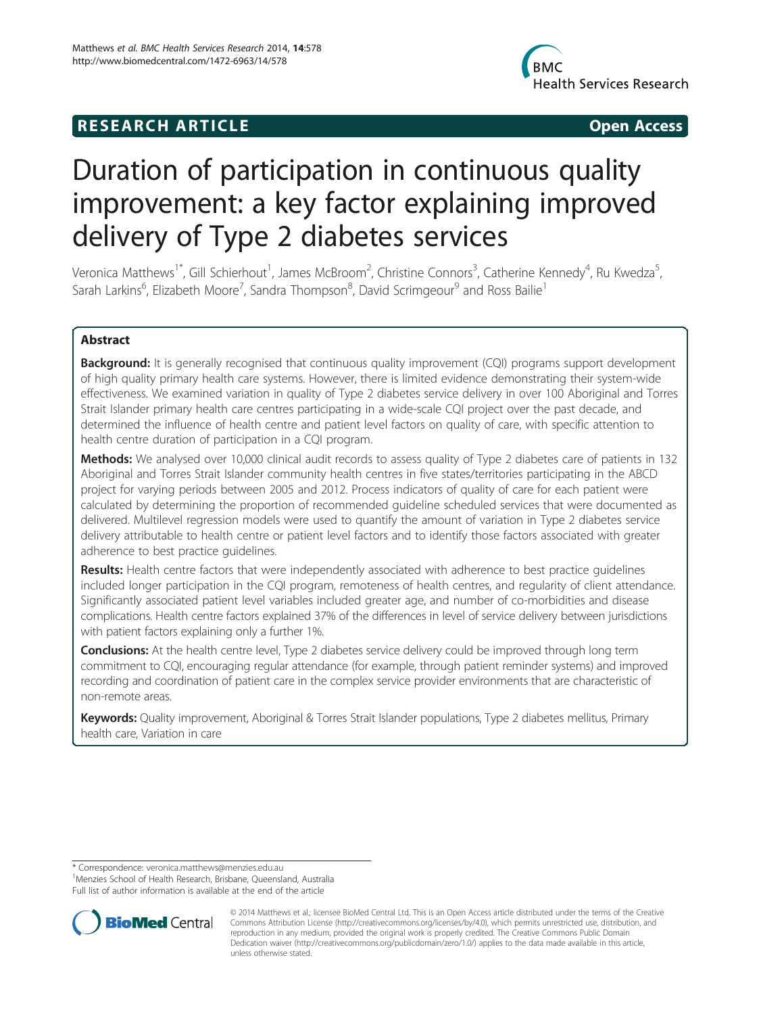# **RESEARCH ARTICLE Example 2014 CONSIDERING CONSIDERING CONSIDERING CONSIDERING CONSIDERING CONSIDERING CONSIDERING CONSIDERING CONSIDERING CONSIDERING CONSIDERING CONSIDERING CONSIDERING CONSIDERING CONSIDERING CONSIDE**



# Duration of participation in continuous quality improvement: a key factor explaining improved delivery of Type 2 diabetes services

Veronica Matthews<sup>1\*</sup>, Gill Schierhout<sup>1</sup>, James McBroom<sup>2</sup>, Christine Connors<sup>3</sup>, Catherine Kennedy<sup>4</sup>, Ru Kwedza<sup>5</sup> , Sarah Larkins<sup>6</sup>, Elizabeth Moore<sup>7</sup>, Sandra Thompson<sup>8</sup>, David Scrimgeour<sup>9</sup> and Ross Bailie<sup>1</sup>

# Abstract

**Background:** It is generally recognised that continuous quality improvement (CQI) programs support development of high quality primary health care systems. However, there is limited evidence demonstrating their system-wide effectiveness. We examined variation in quality of Type 2 diabetes service delivery in over 100 Aboriginal and Torres Strait Islander primary health care centres participating in a wide-scale CQI project over the past decade, and determined the influence of health centre and patient level factors on quality of care, with specific attention to health centre duration of participation in a CQI program.

Methods: We analysed over 10,000 clinical audit records to assess quality of Type 2 diabetes care of patients in 132 Aboriginal and Torres Strait Islander community health centres in five states/territories participating in the ABCD project for varying periods between 2005 and 2012. Process indicators of quality of care for each patient were calculated by determining the proportion of recommended guideline scheduled services that were documented as delivered. Multilevel regression models were used to quantify the amount of variation in Type 2 diabetes service delivery attributable to health centre or patient level factors and to identify those factors associated with greater adherence to best practice guidelines.

Results: Health centre factors that were independently associated with adherence to best practice quidelines included longer participation in the CQI program, remoteness of health centres, and regularity of client attendance. Significantly associated patient level variables included greater age, and number of co-morbidities and disease complications. Health centre factors explained 37% of the differences in level of service delivery between jurisdictions with patient factors explaining only a further 1%.

**Conclusions:** At the health centre level, Type 2 diabetes service delivery could be improved through long term commitment to CQI, encouraging regular attendance (for example, through patient reminder systems) and improved recording and coordination of patient care in the complex service provider environments that are characteristic of non-remote areas.

Keywords: Quality improvement, Aboriginal & Torres Strait Islander populations, Type 2 diabetes mellitus, Primary health care, Variation in care

\* Correspondence: [veronica.matthews@menzies.edu.au](mailto:veronica.matthews@menzies.edu.au) <sup>1</sup>

<sup>1</sup>Menzies School of Health Research, Brisbane, Queensland, Australia

Full list of author information is available at the end of the article



<sup>© 2014</sup> Matthews et al.; licensee BioMed Central Ltd. This is an Open Access article distributed under the terms of the Creative Commons Attribution License [\(http://creativecommons.org/licenses/by/4.0\)](http://creativecommons.org/licenses/by/4.0), which permits unrestricted use, distribution, and reproduction in any medium, provided the original work is properly credited. The Creative Commons Public Domain Dedication waiver [\(http://creativecommons.org/publicdomain/zero/1.0/](http://creativecommons.org/publicdomain/zero/1.0/)) applies to the data made available in this article, unless otherwise stated.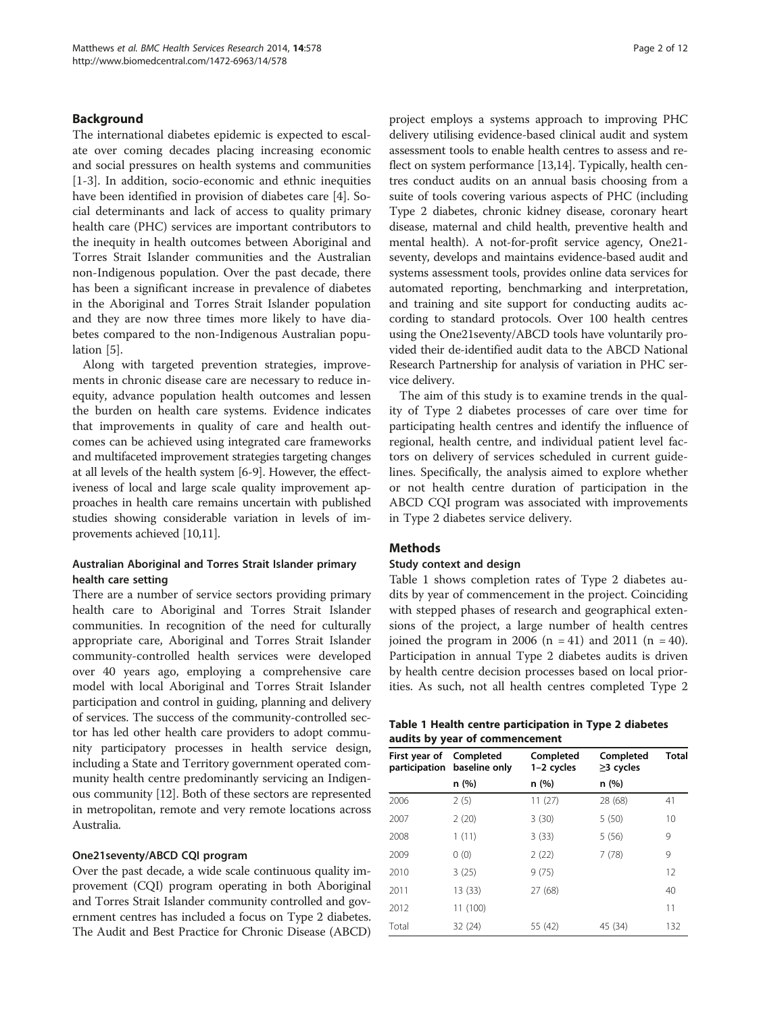# <span id="page-1-0"></span>Background

The international diabetes epidemic is expected to escalate over coming decades placing increasing economic and social pressures on health systems and communities [[1-3](#page-10-0)]. In addition, socio-economic and ethnic inequities have been identified in provision of diabetes care [[4\]](#page-10-0). Social determinants and lack of access to quality primary health care (PHC) services are important contributors to the inequity in health outcomes between Aboriginal and Torres Strait Islander communities and the Australian non-Indigenous population. Over the past decade, there has been a significant increase in prevalence of diabetes in the Aboriginal and Torres Strait Islander population and they are now three times more likely to have diabetes compared to the non-Indigenous Australian population [[5\]](#page-10-0).

Along with targeted prevention strategies, improvements in chronic disease care are necessary to reduce inequity, advance population health outcomes and lessen the burden on health care systems. Evidence indicates that improvements in quality of care and health outcomes can be achieved using integrated care frameworks and multifaceted improvement strategies targeting changes at all levels of the health system [\[6](#page-10-0)-[9](#page-11-0)]. However, the effectiveness of local and large scale quality improvement approaches in health care remains uncertain with published studies showing considerable variation in levels of improvements achieved [\[10,11](#page-11-0)].

# Australian Aboriginal and Torres Strait Islander primary health care setting

There are a number of service sectors providing primary health care to Aboriginal and Torres Strait Islander communities. In recognition of the need for culturally appropriate care, Aboriginal and Torres Strait Islander community-controlled health services were developed over 40 years ago, employing a comprehensive care model with local Aboriginal and Torres Strait Islander participation and control in guiding, planning and delivery of services. The success of the community-controlled sector has led other health care providers to adopt community participatory processes in health service design, including a State and Territory government operated community health centre predominantly servicing an Indigenous community [\[12\]](#page-11-0). Both of these sectors are represented in metropolitan, remote and very remote locations across Australia.

# One21seventy/ABCD CQI program

Over the past decade, a wide scale continuous quality improvement (CQI) program operating in both Aboriginal and Torres Strait Islander community controlled and government centres has included a focus on Type 2 diabetes. The Audit and Best Practice for Chronic Disease (ABCD)

project employs a systems approach to improving PHC delivery utilising evidence-based clinical audit and system assessment tools to enable health centres to assess and reflect on system performance [[13,14](#page-11-0)]. Typically, health centres conduct audits on an annual basis choosing from a suite of tools covering various aspects of PHC (including Type 2 diabetes, chronic kidney disease, coronary heart disease, maternal and child health, preventive health and mental health). A not-for-profit service agency, One21 seventy, develops and maintains evidence-based audit and systems assessment tools, provides online data services for automated reporting, benchmarking and interpretation, and training and site support for conducting audits according to standard protocols. Over 100 health centres using the One21seventy/ABCD tools have voluntarily provided their de-identified audit data to the ABCD National Research Partnership for analysis of variation in PHC service delivery.

The aim of this study is to examine trends in the quality of Type 2 diabetes processes of care over time for participating health centres and identify the influence of regional, health centre, and individual patient level factors on delivery of services scheduled in current guidelines. Specifically, the analysis aimed to explore whether or not health centre duration of participation in the ABCD CQI program was associated with improvements in Type 2 diabetes service delivery.

# **Methods**

#### Study context and design

Table 1 shows completion rates of Type 2 diabetes audits by year of commencement in the project. Coinciding with stepped phases of research and geographical extensions of the project, a large number of health centres joined the program in 2006 (n = 41) and 2011 (n = 40). Participation in annual Type 2 diabetes audits is driven by health centre decision processes based on local priorities. As such, not all health centres completed Type 2

|  | Table 1 Health centre participation in Type 2 diabetes |  |  |
|--|--------------------------------------------------------|--|--|
|  | audits by year of commencement                         |  |  |

| First year of<br>participation | Completed<br>baseline only | Completed<br>$1-2$ cycles | Completed<br>$\geq$ 3 cycles | <b>Total</b> |
|--------------------------------|----------------------------|---------------------------|------------------------------|--------------|
|                                | n (%)                      | n (%)                     | n(%)                         |              |
| 2006                           | 2(5)                       | 11(27)                    | 28 (68)                      | 41           |
| 2007                           | 2(20)                      | 3(30)                     | 5(50)                        | 10           |
| 2008                           | 1(11)                      | 3(33)                     | 5(56)                        | 9            |
| 2009                           | 0(0)                       | 2(22)                     | 7(78)                        | 9            |
| 2010                           | 3(25)                      | 9(75)                     |                              | 12           |
| 2011                           | 13 (33)                    | 27 (68)                   |                              | 40           |
| 2012                           | 11 (100)                   |                           |                              | 11           |
| Total                          | 32 (24)                    | 55 (42)                   | 45 (34)                      | 132          |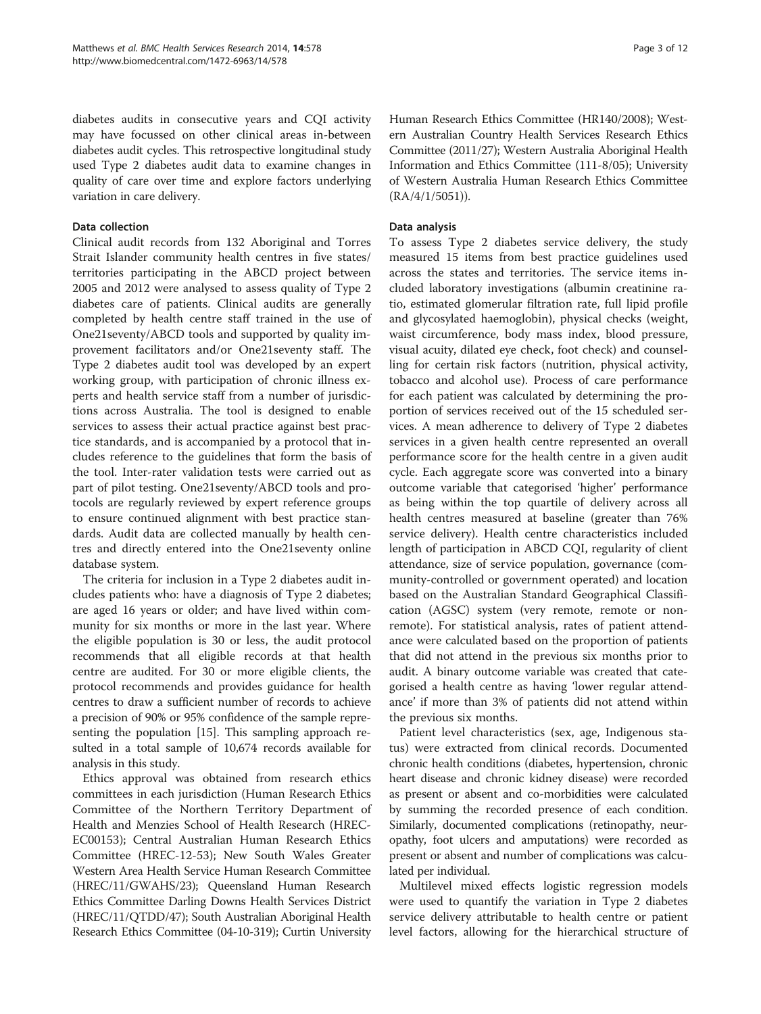diabetes audits in consecutive years and CQI activity may have focussed on other clinical areas in-between diabetes audit cycles. This retrospective longitudinal study used Type 2 diabetes audit data to examine changes in quality of care over time and explore factors underlying variation in care delivery.

# Data collection

Clinical audit records from 132 Aboriginal and Torres Strait Islander community health centres in five states/ territories participating in the ABCD project between 2005 and 2012 were analysed to assess quality of Type 2 diabetes care of patients. Clinical audits are generally completed by health centre staff trained in the use of One21seventy/ABCD tools and supported by quality improvement facilitators and/or One21seventy staff. The Type 2 diabetes audit tool was developed by an expert working group, with participation of chronic illness experts and health service staff from a number of jurisdictions across Australia. The tool is designed to enable services to assess their actual practice against best practice standards, and is accompanied by a protocol that includes reference to the guidelines that form the basis of the tool. Inter-rater validation tests were carried out as part of pilot testing. One21seventy/ABCD tools and protocols are regularly reviewed by expert reference groups to ensure continued alignment with best practice standards. Audit data are collected manually by health centres and directly entered into the One21seventy online database system.

The criteria for inclusion in a Type 2 diabetes audit includes patients who: have a diagnosis of Type 2 diabetes; are aged 16 years or older; and have lived within community for six months or more in the last year. Where the eligible population is 30 or less, the audit protocol recommends that all eligible records at that health centre are audited. For 30 or more eligible clients, the protocol recommends and provides guidance for health centres to draw a sufficient number of records to achieve a precision of 90% or 95% confidence of the sample representing the population [[15](#page-11-0)]. This sampling approach resulted in a total sample of 10,674 records available for analysis in this study.

Ethics approval was obtained from research ethics committees in each jurisdiction (Human Research Ethics Committee of the Northern Territory Department of Health and Menzies School of Health Research (HREC-EC00153); Central Australian Human Research Ethics Committee (HREC-12-53); New South Wales Greater Western Area Health Service Human Research Committee (HREC/11/GWAHS/23); Queensland Human Research Ethics Committee Darling Downs Health Services District (HREC/11/QTDD/47); South Australian Aboriginal Health Research Ethics Committee (04-10-319); Curtin University Human Research Ethics Committee (HR140/2008); Western Australian Country Health Services Research Ethics Committee (2011/27); Western Australia Aboriginal Health Information and Ethics Committee (111-8/05); University of Western Australia Human Research Ethics Committee (RA/4/1/5051)).

# Data analysis

To assess Type 2 diabetes service delivery, the study measured 15 items from best practice guidelines used across the states and territories. The service items included laboratory investigations (albumin creatinine ratio, estimated glomerular filtration rate, full lipid profile and glycosylated haemoglobin), physical checks (weight, waist circumference, body mass index, blood pressure, visual acuity, dilated eye check, foot check) and counselling for certain risk factors (nutrition, physical activity, tobacco and alcohol use). Process of care performance for each patient was calculated by determining the proportion of services received out of the 15 scheduled services. A mean adherence to delivery of Type 2 diabetes services in a given health centre represented an overall performance score for the health centre in a given audit cycle. Each aggregate score was converted into a binary outcome variable that categorised 'higher' performance as being within the top quartile of delivery across all health centres measured at baseline (greater than 76% service delivery). Health centre characteristics included length of participation in ABCD CQI, regularity of client attendance, size of service population, governance (community-controlled or government operated) and location based on the Australian Standard Geographical Classification (AGSC) system (very remote, remote or nonremote). For statistical analysis, rates of patient attendance were calculated based on the proportion of patients that did not attend in the previous six months prior to audit. A binary outcome variable was created that categorised a health centre as having 'lower regular attendance' if more than 3% of patients did not attend within the previous six months.

Patient level characteristics (sex, age, Indigenous status) were extracted from clinical records. Documented chronic health conditions (diabetes, hypertension, chronic heart disease and chronic kidney disease) were recorded as present or absent and co-morbidities were calculated by summing the recorded presence of each condition. Similarly, documented complications (retinopathy, neuropathy, foot ulcers and amputations) were recorded as present or absent and number of complications was calculated per individual.

Multilevel mixed effects logistic regression models were used to quantify the variation in Type 2 diabetes service delivery attributable to health centre or patient level factors, allowing for the hierarchical structure of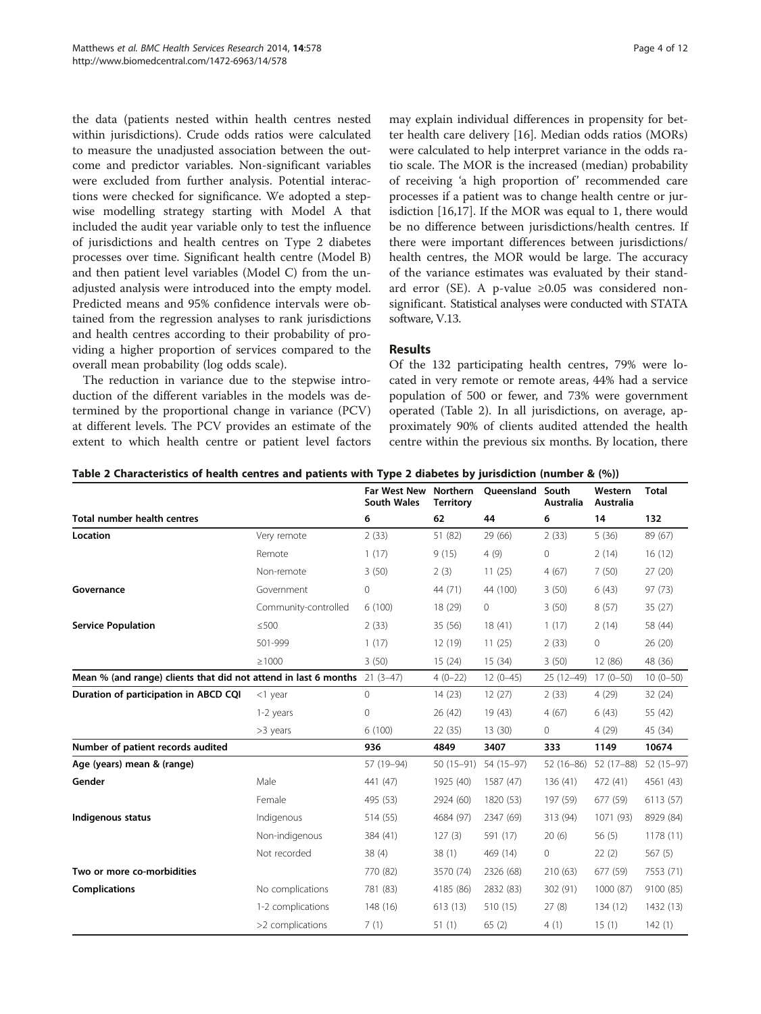the data (patients nested within health centres nested within jurisdictions). Crude odds ratios were calculated to measure the unadjusted association between the outcome and predictor variables. Non-significant variables were excluded from further analysis. Potential interactions were checked for significance. We adopted a stepwise modelling strategy starting with Model A that included the audit year variable only to test the influence of jurisdictions and health centres on Type 2 diabetes processes over time. Significant health centre (Model B) and then patient level variables (Model C) from the unadjusted analysis were introduced into the empty model. Predicted means and 95% confidence intervals were obtained from the regression analyses to rank jurisdictions and health centres according to their probability of providing a higher proportion of services compared to the overall mean probability (log odds scale).

The reduction in variance due to the stepwise introduction of the different variables in the models was determined by the proportional change in variance (PCV) at different levels. The PCV provides an estimate of the extent to which health centre or patient level factors

may explain individual differences in propensity for better health care delivery [\[16\]](#page-11-0). Median odds ratios (MORs) were calculated to help interpret variance in the odds ratio scale. The MOR is the increased (median) probability of receiving 'a high proportion of' recommended care processes if a patient was to change health centre or jurisdiction [[16](#page-11-0),[17](#page-11-0)]. If the MOR was equal to 1, there would be no difference between jurisdictions/health centres. If there were important differences between jurisdictions/ health centres, the MOR would be large. The accuracy of the variance estimates was evaluated by their standard error (SE). A p-value ≥0.05 was considered nonsignificant. Statistical analyses were conducted with STATA software, V.13.

# Results

Of the 132 participating health centres, 79% were located in very remote or remote areas, 44% had a service population of 500 or fewer, and 73% were government operated (Table 2). In all jurisdictions, on average, approximately 90% of clients audited attended the health centre within the previous six months. By location, there

| Table 2 Characteristics of health centres and patients with Type 2 diabetes by jurisdiction (number & (%)) |  |  |  |  |  |  |  |  |  |
|------------------------------------------------------------------------------------------------------------|--|--|--|--|--|--|--|--|--|
|------------------------------------------------------------------------------------------------------------|--|--|--|--|--|--|--|--|--|

|                                                                           |                      | <b>Far West New</b><br><b>South Wales</b> | Northern<br><b>Territory</b> | Oueensland | South<br><b>Australia</b> | Western<br><b>Australia</b> | <b>Total</b> |
|---------------------------------------------------------------------------|----------------------|-------------------------------------------|------------------------------|------------|---------------------------|-----------------------------|--------------|
| Total number health centres                                               |                      | 6                                         | 62                           | 44         | 6                         | 14                          | 132          |
| Location                                                                  | Very remote          | 2(33)                                     | 51 (82)                      | 29 (66)    | 2(33)                     | 5(36)                       | 89 (67)      |
|                                                                           | Remote               | 1(17)                                     | 9(15)                        | 4(9)       | $\mathbf 0$               | 2(14)                       | 16(12)       |
|                                                                           | Non-remote           | 3(50)                                     | 2(3)                         | 11(25)     | 4(67)                     | 7(50)                       | 27(20)       |
| Governance                                                                | Government           | $\circ$                                   | 44 (71)                      | 44 (100)   | 3(50)                     | 6(43)                       | 97(73)       |
|                                                                           | Community-controlled | 6(100)                                    | 18 (29)                      | $\circ$    | 3(50)                     | 8(57)                       | 35(27)       |
| <b>Service Population</b>                                                 | $\leq$ 500           | 2(33)                                     | 35(56)                       | 18(41)     | 1(17)                     | 2(14)                       | 58 (44)      |
|                                                                           | 501-999              | 1(17)                                     | 12(19)                       | 11(25)     | 2(33)                     | 0                           | 26 (20)      |
|                                                                           | $\geq 1000$          | 3(50)                                     | 15(24)                       | 15(34)     | 3(50)                     | 12 (86)                     | 48 (36)      |
| Mean % (and range) clients that did not attend in last 6 months 21 (3-47) |                      |                                           | $4(0-22)$                    | $12(0-45)$ | 25 (12-49) 17 (0-50)      |                             | $10(0-50)$   |
| Duration of participation in ABCD CQI                                     | $<$ 1 year           | $\mathbf{0}$                              | 14(23)                       | 12(27)     | 2(33)                     | 4(29)                       | 32(24)       |
|                                                                           | 1-2 years            | $\mathbf 0$                               | 26(42)                       | 19(43)     | 4(67)                     | 6(43)                       | 55 (42)      |
|                                                                           | >3 years             | 6(100)                                    | 22(35)                       | 13 (30)    | $\mathbf{0}$              | 4(29)                       | 45 (34)      |
| Number of patient records audited                                         |                      | 936                                       | 4849                         | 3407       | 333                       | 1149                        | 10674        |
| Age (years) mean & (range)                                                |                      | 57 (19-94)                                | 50 (15-91)                   | 54 (15-97) | $52(16-86)$               | 52 (17-88)                  | $52(15-97)$  |
| Gender                                                                    | Male                 | 441 (47)                                  | 1925 (40)                    | 1587 (47)  | 136(41)                   | 472 (41)                    | 4561 (43)    |
|                                                                           | Female               | 495 (53)                                  | 2924 (60)                    | 1820 (53)  | 197 (59)                  | 677 (59)                    | 6113 (57)    |
| Indigenous status                                                         | Indigenous           | 514 (55)                                  | 4684 (97)                    | 2347 (69)  | 313 (94)                  | 1071 (93)                   | 8929 (84)    |
|                                                                           | Non-indigenous       | 384 (41)                                  | 127(3)                       | 591 (17)   | 20(6)                     | 56(5)                       | 1178(11)     |
|                                                                           | Not recorded         | 38(4)                                     | 38(1)                        | 469 (14)   | $\mathbf 0$               | 22(2)                       | 567(5)       |
| Two or more co-morbidities                                                |                      | 770 (82)                                  | 3570 (74)                    | 2326 (68)  | 210(63)                   | 677 (59)                    | 7553 (71)    |
| <b>Complications</b>                                                      | No complications     | 781 (83)                                  | 4185 (86)                    | 2832 (83)  | 302 (91)                  | 1000 (87)                   | 9100 (85)    |
|                                                                           | 1-2 complications    | 148 (16)                                  | 613(13)                      | 510 (15)   | 27(8)                     | 134 (12)                    | 1432 (13)    |
|                                                                           | >2 complications     | 7(1)                                      | 51(1)                        | 65(2)      | 4(1)                      | 15(1)                       | 142(1)       |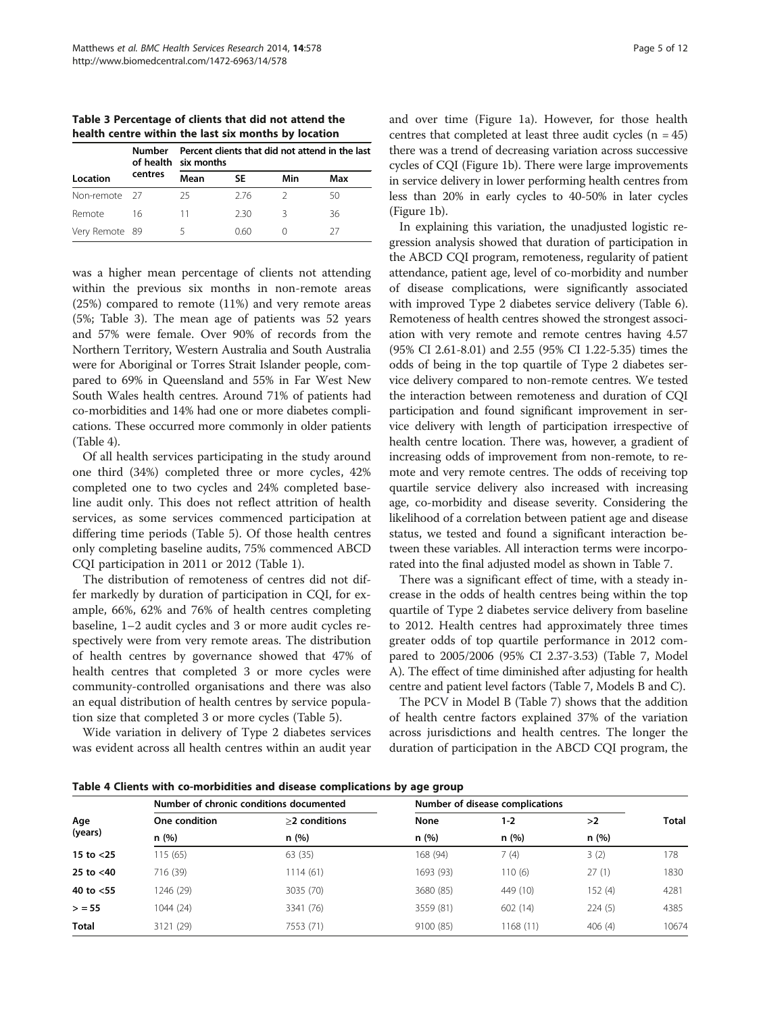<span id="page-4-0"></span>Table 3 Percentage of clients that did not attend the health centre within the last six months by location

|                | Numher  | Percent clients that did not attend in the last<br>of health six months |     |     |     |  |  |  |
|----------------|---------|-------------------------------------------------------------------------|-----|-----|-----|--|--|--|
| Location       | centres | Mean                                                                    | SE  | Min | Max |  |  |  |
| Non-remote 27  |         | 25                                                                      | 276 |     |     |  |  |  |
| Remote         | 16      | 11                                                                      | 230 | 2   | 36  |  |  |  |
| Very Remote 89 |         |                                                                         | 060 |     | 77  |  |  |  |

was a higher mean percentage of clients not attending within the previous six months in non-remote areas (25%) compared to remote (11%) and very remote areas (5%; Table 3). The mean age of patients was 52 years and 57% were female. Over 90% of records from the Northern Territory, Western Australia and South Australia were for Aboriginal or Torres Strait Islander people, compared to 69% in Queensland and 55% in Far West New South Wales health centres. Around 71% of patients had co-morbidities and 14% had one or more diabetes complications. These occurred more commonly in older patients (Table 4).

Of all health services participating in the study around one third (34%) completed three or more cycles, 42% completed one to two cycles and 24% completed baseline audit only. This does not reflect attrition of health services, as some services commenced participation at differing time periods (Table [5\)](#page-5-0). Of those health centres only completing baseline audits, 75% commenced ABCD CQI participation in 2011 or 2012 (Table [1](#page-1-0)).

The distribution of remoteness of centres did not differ markedly by duration of participation in CQI, for example, 66%, 62% and 76% of health centres completing baseline, 1–2 audit cycles and 3 or more audit cycles respectively were from very remote areas. The distribution of health centres by governance showed that 47% of health centres that completed 3 or more cycles were community-controlled organisations and there was also an equal distribution of health centres by service population size that completed 3 or more cycles (Table [5](#page-5-0)).

Wide variation in delivery of Type 2 diabetes services was evident across all health centres within an audit year and over time (Figure [1a](#page-5-0)). However, for those health centres that completed at least three audit cycles  $(n = 45)$ there was a trend of decreasing variation across successive cycles of CQI (Figure [1b](#page-5-0)). There were large improvements in service delivery in lower performing health centres from less than 20% in early cycles to 40-50% in later cycles (Figure [1](#page-5-0)b).

In explaining this variation, the unadjusted logistic regression analysis showed that duration of participation in the ABCD CQI program, remoteness, regularity of patient attendance, patient age, level of co-morbidity and number of disease complications, were significantly associated with improved Type 2 diabetes service delivery (Table [6](#page-6-0)). Remoteness of health centres showed the strongest association with very remote and remote centres having 4.57 (95% CI 2.61-8.01) and 2.55 (95% CI 1.22-5.35) times the odds of being in the top quartile of Type 2 diabetes service delivery compared to non-remote centres. We tested the interaction between remoteness and duration of CQI participation and found significant improvement in service delivery with length of participation irrespective of health centre location. There was, however, a gradient of increasing odds of improvement from non-remote, to remote and very remote centres. The odds of receiving top quartile service delivery also increased with increasing age, co-morbidity and disease severity. Considering the likelihood of a correlation between patient age and disease status, we tested and found a significant interaction between these variables. All interaction terms were incorporated into the final adjusted model as shown in Table [7.](#page-7-0)

There was a significant effect of time, with a steady increase in the odds of health centres being within the top quartile of Type 2 diabetes service delivery from baseline to 2012. Health centres had approximately three times greater odds of top quartile performance in 2012 compared to 2005/2006 (95% CI 2.37-3.53) (Table [7](#page-7-0), Model A). The effect of time diminished after adjusting for health centre and patient level factors (Table [7](#page-7-0), Models B and C).

The PCV in Model B (Table [7](#page-7-0)) shows that the addition of health centre factors explained 37% of the variation across jurisdictions and health centres. The longer the duration of participation in the ABCD CQI program, the

Table 4 Clients with co-morbidities and disease complications by age group

| One condition | >2 conditions | None                                    | $1 - 2$   | >2      | <b>Total</b>                    |
|---------------|---------------|-----------------------------------------|-----------|---------|---------------------------------|
| n(%)          | n(%)          | n(%)                                    | n(%)      | n(%)    |                                 |
| 115(65)       | 63 (35)       | 168 (94)                                | 7(4)      | 3(2)    | 178                             |
| 716 (39)      | 1114 (61)     | 1693 (93)                               | 110(6)    | 27(1)   | 1830                            |
| 1246 (29)     | 3035 (70)     | 3680 (85)                               | 449 (10)  | 152 (4) | 4281                            |
| 1044(24)      | 3341 (76)     | 3559 (81)                               | 602(14)   | 224(5)  | 4385                            |
| 3121 (29)     | 7553 (71)     | 9100 (85)                               | 1168 (11) | 406(4)  | 10674                           |
|               |               | Number of chronic conditions documented |           |         | Number of disease complications |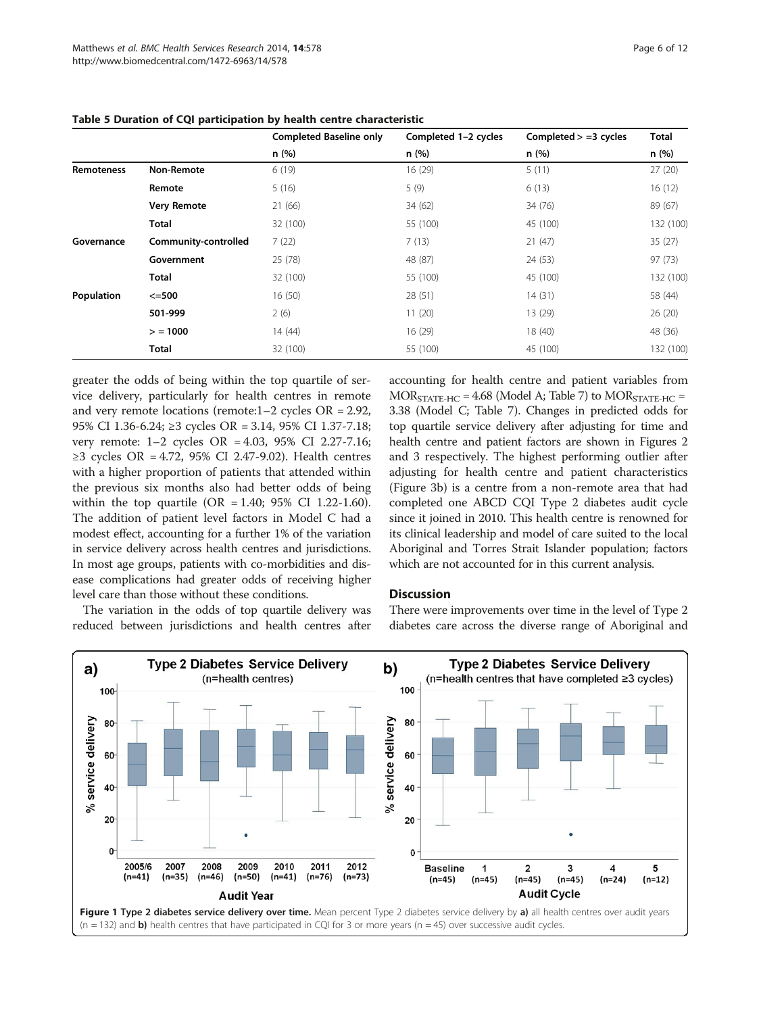|                   |                      | <b>Completed Baseline only</b> | Completed 1-2 cycles | Completed $> =3$ cycles | <b>Total</b> |
|-------------------|----------------------|--------------------------------|----------------------|-------------------------|--------------|
|                   |                      | n(%)                           | n(%)                 | n(%)                    | n (%)        |
| <b>Remoteness</b> | Non-Remote           | 6(19)                          | 16 (29)              | 5(11)                   | 27(20)       |
|                   | Remote               | 5(16)                          | 5(9)                 | 6(13)                   | 16(12)       |
|                   | <b>Very Remote</b>   | 21 (66)                        | 34 (62)              | 34 (76)                 | 89 (67)      |
|                   | Total                | 32 (100)                       | 55 (100)             | 45 (100)                | 132 (100)    |
| Governance        | Community-controlled | 7(22)                          | 7(13)                | 21(47)                  | 35(27)       |
|                   | Government           | 25 (78)                        | 48 (87)              | 24 (53)                 | 97(73)       |
|                   | <b>Total</b>         | 32 (100)                       | 55 (100)             | 45 (100)                | 132 (100)    |
| Population        | $\leq$ =500          | 16(50)                         | 28 (51)              | 14(31)                  | 58 (44)      |
|                   | 501-999              | 2(6)                           | 11(20)               | 13 (29)                 | 26(20)       |
|                   | > 1000               | 14 (44)                        | 16(29)               | 18 (40)                 | 48 (36)      |
|                   | <b>Total</b>         | 32 (100)                       | 55 (100)             | 45 (100)                | 132 (100)    |

<span id="page-5-0"></span>

| Table 5 Duration of CQI participation by health centre characteristic |  |  |  |
|-----------------------------------------------------------------------|--|--|--|
|-----------------------------------------------------------------------|--|--|--|

greater the odds of being within the top quartile of service delivery, particularly for health centres in remote and very remote locations (remote:1–2 cycles OR = 2.92, 95% CI 1.36-6.24; ≥3 cycles OR = 3.14, 95% CI 1.37-7.18; very remote: 1–2 cycles OR = 4.03, 95% CI 2.27-7.16; ≥3 cycles OR = 4.72, 95% CI 2.47-9.02). Health centres with a higher proportion of patients that attended within the previous six months also had better odds of being within the top quartile  $(OR = 1.40; 95\% \text{ CI } 1.22-1.60)$ . The addition of patient level factors in Model C had a modest effect, accounting for a further 1% of the variation in service delivery across health centres and jurisdictions. In most age groups, patients with co-morbidities and disease complications had greater odds of receiving higher level care than those without these conditions.

The variation in the odds of top quartile delivery was reduced between jurisdictions and health centres after

accounting for health centre and patient variables from  $MOR_{STATE\textrm{-}HC} = 4.68$  (Model A; Table [7](#page-7-0)) to  $MOR_{STATE\textrm{-}HC} =$ 3.38 (Model C; Table [7](#page-7-0)). Changes in predicted odds for top quartile service delivery after adjusting for time and health centre and patient factors are shown in Figures [2](#page-8-0) and [3](#page-9-0) respectively. The highest performing outlier after adjusting for health centre and patient characteristics (Figure [3](#page-9-0)b) is a centre from a non-remote area that had completed one ABCD CQI Type 2 diabetes audit cycle since it joined in 2010. This health centre is renowned for its clinical leadership and model of care suited to the local Aboriginal and Torres Strait Islander population; factors which are not accounted for in this current analysis.

# **Discussion**

There were improvements over time in the level of Type 2 diabetes care across the diverse range of Aboriginal and

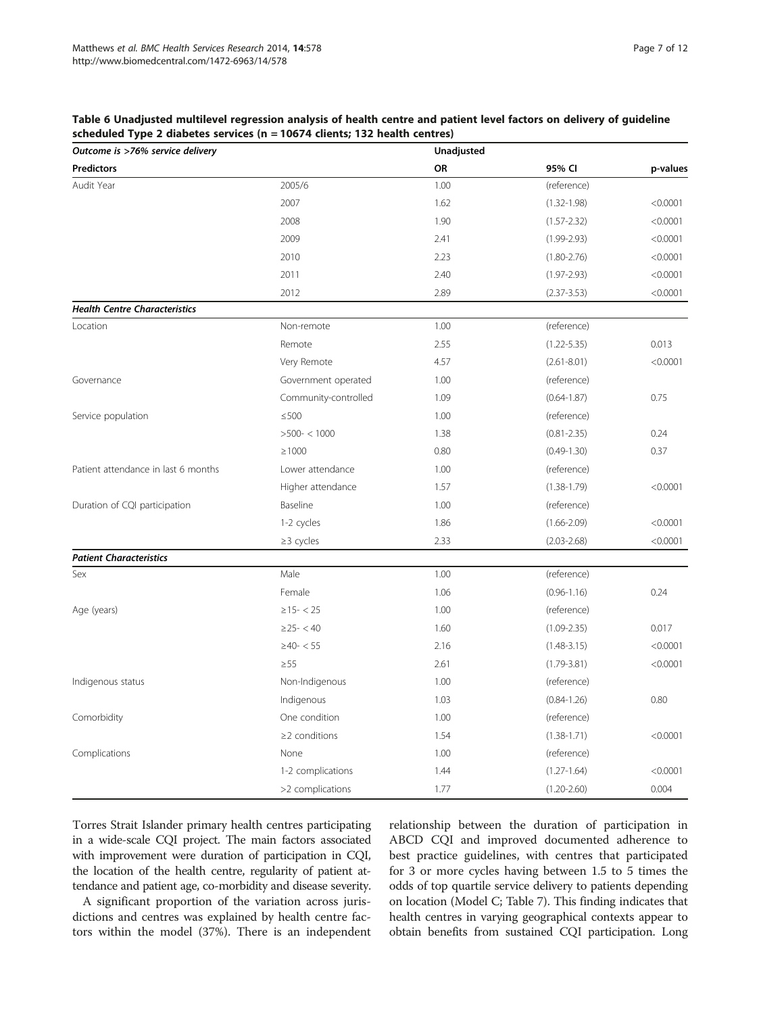<span id="page-6-0"></span>

| Table 6 Unadjusted multilevel regression analysis of health centre and patient level factors on delivery of guideline |  |
|-----------------------------------------------------------------------------------------------------------------------|--|
| scheduled Type 2 diabetes services (n = 10674 clients; 132 health centres)                                            |  |

| Outcome is >76% service delivery     |                      | Unadjusted |                 |          |
|--------------------------------------|----------------------|------------|-----------------|----------|
| <b>Predictors</b>                    |                      | OR         | 95% CI          | p-values |
| Audit Year                           | 2005/6               | 1.00       | (reference)     |          |
|                                      | 2007                 | 1.62       | $(1.32 - 1.98)$ | < 0.0001 |
|                                      | 2008                 | 1.90       | $(1.57 - 2.32)$ | < 0.0001 |
|                                      | 2009                 | 2.41       | $(1.99 - 2.93)$ | < 0.0001 |
|                                      | 2010                 | 2.23       | $(1.80 - 2.76)$ | < 0.0001 |
|                                      | 2011                 | 2.40       | $(1.97 - 2.93)$ | < 0.0001 |
|                                      | 2012                 | 2.89       | $(2.37 - 3.53)$ | < 0.0001 |
| <b>Health Centre Characteristics</b> |                      |            |                 |          |
| Location                             | Non-remote           | 1.00       | (reference)     |          |
|                                      | Remote               | 2.55       | $(1.22 - 5.35)$ | 0.013    |
|                                      | Very Remote          | 4.57       | $(2.61 - 8.01)$ | < 0.0001 |
| Governance                           | Government operated  | 1.00       | (reference)     |          |
|                                      | Community-controlled | 1.09       | $(0.64 - 1.87)$ | 0.75     |
| Service population                   | $\leq$ 500           | 1.00       | (reference)     |          |
|                                      | $>500-<1000$         | 1.38       | $(0.81 - 2.35)$ | 0.24     |
|                                      | $\geq 1000$          | 0.80       | $(0.49 - 1.30)$ | 0.37     |
| Patient attendance in last 6 months  | Lower attendance     | 1.00       | (reference)     |          |
|                                      | Higher attendance    | 1.57       | $(1.38 - 1.79)$ | < 0.0001 |
| Duration of CQI participation        | Baseline             | 1.00       | (reference)     |          |
|                                      | 1-2 cycles           | 1.86       | $(1.66 - 2.09)$ | < 0.0001 |
|                                      | $\geq$ 3 cycles      | 2.33       | $(2.03 - 2.68)$ | < 0.0001 |
| <b>Patient Characteristics</b>       |                      |            |                 |          |
| Sex                                  | Male                 | 1.00       | (reference)     |          |
|                                      | Female               | 1.06       | $(0.96 - 1.16)$ | 0.24     |
| Age (years)                          | $\geq$ 15 - < 25     | 1.00       | (reference)     |          |
|                                      | $\geq$ 25 - < 40     | 1.60       | $(1.09 - 2.35)$ | 0.017    |
|                                      | $\geq 40 - 55$       | 2.16       | $(1.48 - 3.15)$ | < 0.0001 |
|                                      | $\geq$ 55            | 2.61       | $(1.79 - 3.81)$ | < 0.0001 |
| Indigenous status                    | Non-Indigenous       | 1.00       | (reference)     |          |
|                                      | Indigenous           | 1.03       | $(0.84 - 1.26)$ | 0.80     |
| Comorbidity                          | One condition        | 1.00       | (reference)     |          |
|                                      | $\geq$ 2 conditions  | 1.54       | $(1.38 - 1.71)$ | < 0.0001 |
| Complications                        | None                 | 1.00       | (reference)     |          |
|                                      | 1-2 complications    | 1.44       | $(1.27 - 1.64)$ | < 0.0001 |
|                                      | >2 complications     | 1.77       | $(1.20 - 2.60)$ | 0.004    |

Torres Strait Islander primary health centres participating in a wide-scale CQI project. The main factors associated with improvement were duration of participation in CQI, the location of the health centre, regularity of patient attendance and patient age, co-morbidity and disease severity.

A significant proportion of the variation across jurisdictions and centres was explained by health centre factors within the model (37%). There is an independent relationship between the duration of participation in ABCD CQI and improved documented adherence to best practice guidelines, with centres that participated for 3 or more cycles having between 1.5 to 5 times the odds of top quartile service delivery to patients depending on location (Model C; Table [7](#page-7-0)). This finding indicates that health centres in varying geographical contexts appear to obtain benefits from sustained CQI participation. Long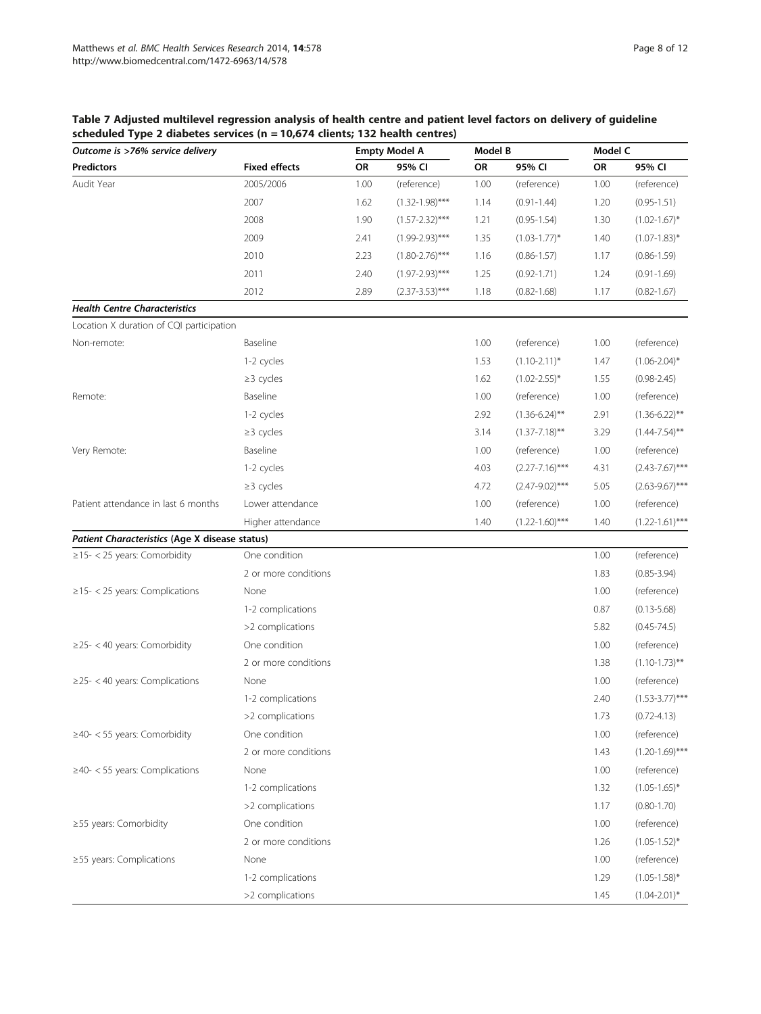# <span id="page-7-0"></span>Table 7 Adjusted multilevel regression analysis of health centre and patient level factors on delivery of guideline scheduled Type 2 diabetes services (n = 10,674 clients; 132 health centres)

| Outcome is >76% service delivery               |                      |      | <b>Empty Model A</b> | Model B   |                     | Model C |                     |
|------------------------------------------------|----------------------|------|----------------------|-----------|---------------------|---------|---------------------|
| <b>Predictors</b>                              | <b>Fixed effects</b> | OR   | 95% CI               | <b>OR</b> | 95% CI              | OR      | 95% CI              |
| Audit Year                                     | 2005/2006            | 1.00 | (reference)          | 1.00      | (reference)         | 1.00    | (reference)         |
|                                                | 2007                 | 1.62 | $(1.32 - 1.98)$ ***  | 1.14      | $(0.91 - 1.44)$     | 1.20    | $(0.95 - 1.51)$     |
|                                                | 2008                 | 1.90 | $(1.57 - 2.32)$ ***  | 1.21      | $(0.95 - 1.54)$     | 1.30    | $(1.02 - 1.67)^*$   |
|                                                | 2009                 | 2.41 | $(1.99 - 2.93)$ ***  | 1.35      | $(1.03 - 1.77)^*$   | 1.40    | $(1.07 - 1.83)^*$   |
|                                                | 2010                 | 2.23 | $(1.80 - 2.76)$ ***  | 1.16      | $(0.86 - 1.57)$     | 1.17    | $(0.86 - 1.59)$     |
|                                                | 2011                 | 2.40 | $(1.97 - 2.93)$ ***  | 1.25      | $(0.92 - 1.71)$     | 1.24    | $(0.91 - 1.69)$     |
|                                                | 2012                 | 2.89 | $(2.37 - 3.53)$ ***  | 1.18      | $(0.82 - 1.68)$     | 1.17    | $(0.82 - 1.67)$     |
| <b>Health Centre Characteristics</b>           |                      |      |                      |           |                     |         |                     |
| Location X duration of CQI participation       |                      |      |                      |           |                     |         |                     |
| Non-remote:                                    | Baseline             |      |                      | 1.00      | (reference)         | 1.00    | (reference)         |
|                                                | 1-2 cycles           |      |                      | 1.53      | $(1.10 - 2.11)^*$   | 1.47    | $(1.06 - 2.04)^*$   |
|                                                | $\geq$ 3 cycles      |      |                      | 1.62      | $(1.02 - 2.55)^*$   | 1.55    | $(0.98 - 2.45)$     |
| Remote:                                        | Baseline             |      |                      | 1.00      | (reference)         | 1.00    | (reference)         |
|                                                | 1-2 cycles           |      |                      | 2.92      | $(1.36 - 6.24)$ **  | 2.91    | $(1.36 - 6.22)$ **  |
|                                                | $\geq$ 3 cycles      |      |                      | 3.14      | $(1.37 - 7.18)$ **  | 3.29    | $(1.44 - 7.54)$ **  |
| Very Remote:                                   | Baseline             |      |                      | 1.00      | (reference)         | 1.00    | (reference)         |
|                                                | 1-2 cycles           |      |                      | 4.03      | $(2.27 - 7.16)$ *** | 4.31    | $(2.43 - 7.67)$ *** |
|                                                | $\geq$ 3 cycles      |      |                      | 4.72      | $(2.47 - 9.02)$ *** | 5.05    | $(2.63 - 9.67)$ *** |
| Patient attendance in last 6 months            | Lower attendance     |      |                      | 1.00      | (reference)         | 1.00    | (reference)         |
|                                                | Higher attendance    |      |                      | 1.40      | $(1.22 - 1.60)$ *** | 1.40    | $(1.22 - 1.61)$ *** |
| Patient Characteristics (Age X disease status) |                      |      |                      |           |                     |         |                     |
| $\geq$ 15- < 25 years: Comorbidity             | One condition        |      |                      |           |                     | 1.00    | (reference)         |
|                                                | 2 or more conditions |      |                      |           |                     | 1.83    | $(0.85 - 3.94)$     |
| $\ge$ 15- < 25 years: Complications            | None                 |      |                      |           |                     | 1.00    | (reference)         |
|                                                | 1-2 complications    |      |                      |           |                     | 0.87    | $(0.13 - 5.68)$     |
|                                                | >2 complications     |      |                      |           |                     | 5.82    | $(0.45 - 74.5)$     |
| $\geq$ 25- < 40 years: Comorbidity             | One condition        |      |                      |           |                     | 1.00    | (reference)         |
|                                                | 2 or more conditions |      |                      |           |                     | 1.38    | $(1.10 - 1.73)$ **  |
| $\geq$ 25- < 40 years: Complications           | None                 |      |                      |           |                     | 1.00    | (reference)         |
|                                                | 1-2 complications    |      |                      |           |                     | 2.40    | $(1.53 - 3.77)$ *** |
|                                                | >2 complications     |      |                      |           |                     | 1.73    | $(0.72 - 4.13)$     |
| $\geq$ 40- < 55 years: Comorbidity             | One condition        |      |                      |           |                     | 1.00    | (reference)         |
|                                                | 2 or more conditions |      |                      |           |                     | 1.43    | $(1.20 - 1.69)$ *** |
| $\geq$ 40- < 55 years: Complications           | None                 |      |                      |           |                     | 1.00    | (reference)         |
|                                                | 1-2 complications    |      |                      |           |                     | 1.32    | $(1.05 - 1.65)^*$   |
|                                                | >2 complications     |      |                      |           |                     | 1.17    | $(0.80 - 1.70)$     |
| ≥55 years: Comorbidity                         | One condition        |      |                      |           |                     | 1.00    | (reference)         |
|                                                | 2 or more conditions |      |                      |           |                     | 1.26    | $(1.05 - 1.52)^*$   |
| $\geq$ 55 years: Complications                 | None                 |      |                      |           |                     | 1.00    | (reference)         |
|                                                | 1-2 complications    |      |                      |           |                     | 1.29    | $(1.05 - 1.58)$ *   |
|                                                | >2 complications     |      |                      |           |                     | 1.45    | $(1.04 - 2.01)^*$   |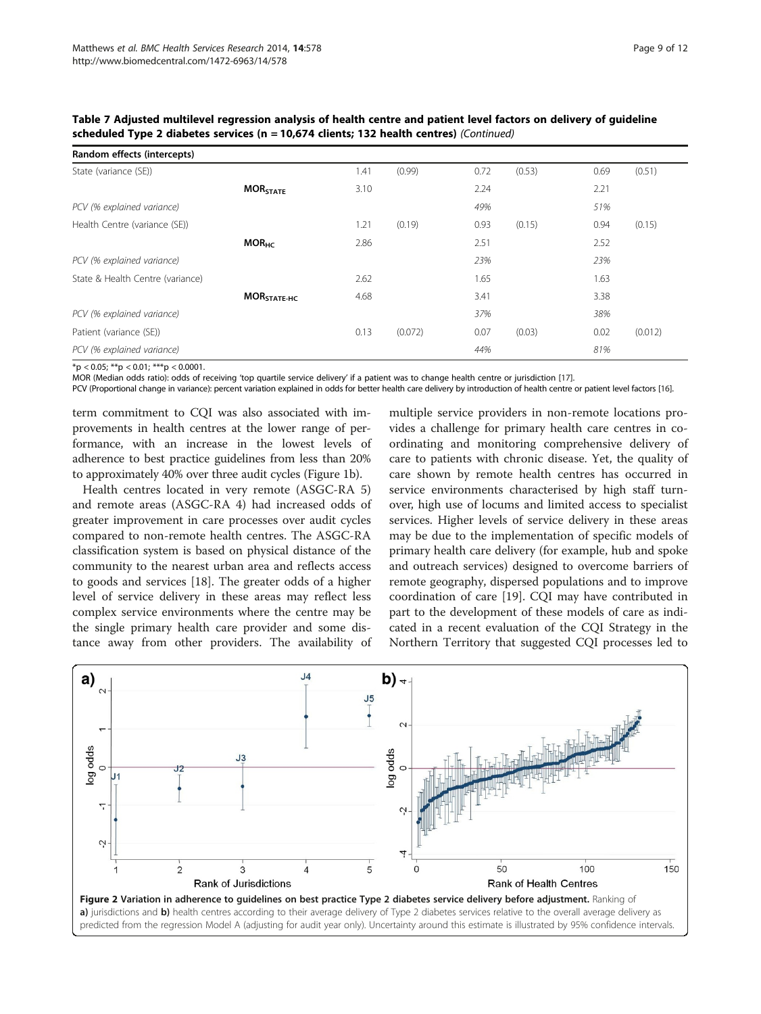| Random effects (intercepts)      |                            |      |         |      |        |      |         |
|----------------------------------|----------------------------|------|---------|------|--------|------|---------|
| State (variance (SE))            |                            | 1.41 | (0.99)  | 0.72 | (0.53) | 0.69 | (0.51)  |
|                                  | <b>MOR<sub>STATE</sub></b> | 3.10 |         | 2.24 |        | 2.21 |         |
| PCV (% explained variance)       |                            |      |         | 49%  |        | 51%  |         |
| Health Centre (variance (SE))    |                            | 1.21 | (0.19)  | 0.93 | (0.15) | 0.94 | (0.15)  |
|                                  | MOR <sub>HC</sub>          | 2.86 |         | 2.51 |        | 2.52 |         |
| PCV (% explained variance)       |                            |      |         | 23%  |        | 23%  |         |
| State & Health Centre (variance) |                            | 2.62 |         | 1.65 |        | 1.63 |         |
|                                  | MOR <sub>STATE-HC</sub>    | 4.68 |         | 3.41 |        | 3.38 |         |
| PCV (% explained variance)       |                            |      |         | 37%  |        | 38%  |         |
| Patient (variance (SE))          |                            | 0.13 | (0.072) | 0.07 | (0.03) | 0.02 | (0.012) |
| PCV (% explained variance)       |                            |      |         | 44%  |        | 81%  |         |

<span id="page-8-0"></span>Table 7 Adjusted multilevel regression analysis of health centre and patient level factors on delivery of guideline scheduled Type 2 diabetes services (n = 10,674 clients; 132 health centres) (Continued)

 $*$ p < 0.05;  $*$  $p$  < 0.01;  $**$  $p$  < 0.0001.

MOR (Median odds ratio): odds of receiving 'top quartile service delivery' if a patient was to change health centre or jurisdiction [\[17\]](#page-11-0).

PCV (Proportional change in variance): percent variation explained in odds for better health care delivery by introduction of health centre or patient level factors [\[16](#page-11-0)].

term commitment to CQI was also associated with improvements in health centres at the lower range of performance, with an increase in the lowest levels of adherence to best practice guidelines from less than 20% to approximately 40% over three audit cycles (Figure [1](#page-5-0)b).

Health centres located in very remote (ASGC-RA 5) and remote areas (ASGC-RA 4) had increased odds of greater improvement in care processes over audit cycles compared to non-remote health centres. The ASGC-RA classification system is based on physical distance of the community to the nearest urban area and reflects access to goods and services [[18](#page-11-0)]. The greater odds of a higher level of service delivery in these areas may reflect less complex service environments where the centre may be the single primary health care provider and some distance away from other providers. The availability of

multiple service providers in non-remote locations provides a challenge for primary health care centres in coordinating and monitoring comprehensive delivery of care to patients with chronic disease. Yet, the quality of care shown by remote health centres has occurred in service environments characterised by high staff turnover, high use of locums and limited access to specialist services. Higher levels of service delivery in these areas may be due to the implementation of specific models of primary health care delivery (for example, hub and spoke and outreach services) designed to overcome barriers of remote geography, dispersed populations and to improve coordination of care [\[19\]](#page-11-0). CQI may have contributed in part to the development of these models of care as indicated in a recent evaluation of the CQI Strategy in the Northern Territory that suggested CQI processes led to

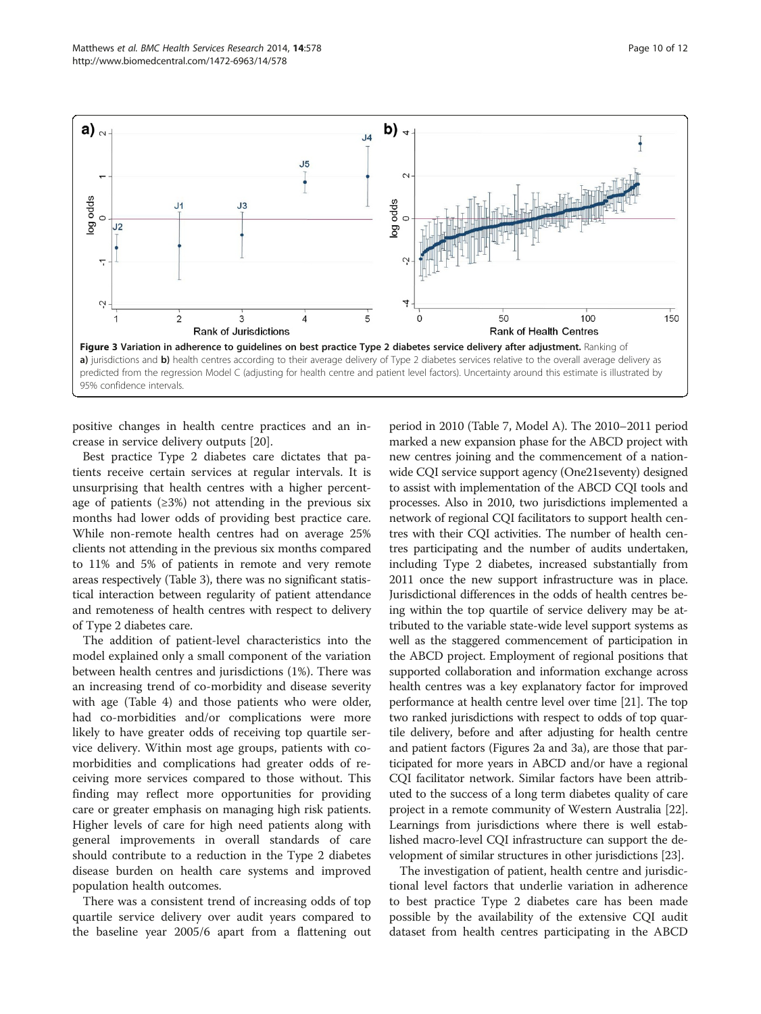<span id="page-9-0"></span>

positive changes in health centre practices and an increase in service delivery outputs [[20](#page-11-0)].

Best practice Type 2 diabetes care dictates that patients receive certain services at regular intervals. It is unsurprising that health centres with a higher percentage of patients  $(≥3%)$  not attending in the previous six months had lower odds of providing best practice care. While non-remote health centres had on average 25% clients not attending in the previous six months compared to 11% and 5% of patients in remote and very remote areas respectively (Table [3](#page-4-0)), there was no significant statistical interaction between regularity of patient attendance and remoteness of health centres with respect to delivery of Type 2 diabetes care.

The addition of patient-level characteristics into the model explained only a small component of the variation between health centres and jurisdictions (1%). There was an increasing trend of co-morbidity and disease severity with age (Table [4](#page-4-0)) and those patients who were older, had co-morbidities and/or complications were more likely to have greater odds of receiving top quartile service delivery. Within most age groups, patients with comorbidities and complications had greater odds of receiving more services compared to those without. This finding may reflect more opportunities for providing care or greater emphasis on managing high risk patients. Higher levels of care for high need patients along with general improvements in overall standards of care should contribute to a reduction in the Type 2 diabetes disease burden on health care systems and improved population health outcomes.

There was a consistent trend of increasing odds of top quartile service delivery over audit years compared to the baseline year 2005/6 apart from a flattening out

period in 2010 (Table [7](#page-7-0), Model A). The 2010–2011 period marked a new expansion phase for the ABCD project with new centres joining and the commencement of a nationwide CQI service support agency (One21seventy) designed to assist with implementation of the ABCD CQI tools and processes. Also in 2010, two jurisdictions implemented a network of regional CQI facilitators to support health centres with their CQI activities. The number of health centres participating and the number of audits undertaken, including Type 2 diabetes, increased substantially from 2011 once the new support infrastructure was in place. Jurisdictional differences in the odds of health centres being within the top quartile of service delivery may be attributed to the variable state-wide level support systems as well as the staggered commencement of participation in the ABCD project. Employment of regional positions that supported collaboration and information exchange across health centres was a key explanatory factor for improved performance at health centre level over time [[21](#page-11-0)]. The top two ranked jurisdictions with respect to odds of top quartile delivery, before and after adjusting for health centre and patient factors (Figures [2](#page-8-0)a and 3a), are those that participated for more years in ABCD and/or have a regional CQI facilitator network. Similar factors have been attributed to the success of a long term diabetes quality of care project in a remote community of Western Australia [[22](#page-11-0)]. Learnings from jurisdictions where there is well established macro-level CQI infrastructure can support the development of similar structures in other jurisdictions [[23](#page-11-0)].

The investigation of patient, health centre and jurisdictional level factors that underlie variation in adherence to best practice Type 2 diabetes care has been made possible by the availability of the extensive CQI audit dataset from health centres participating in the ABCD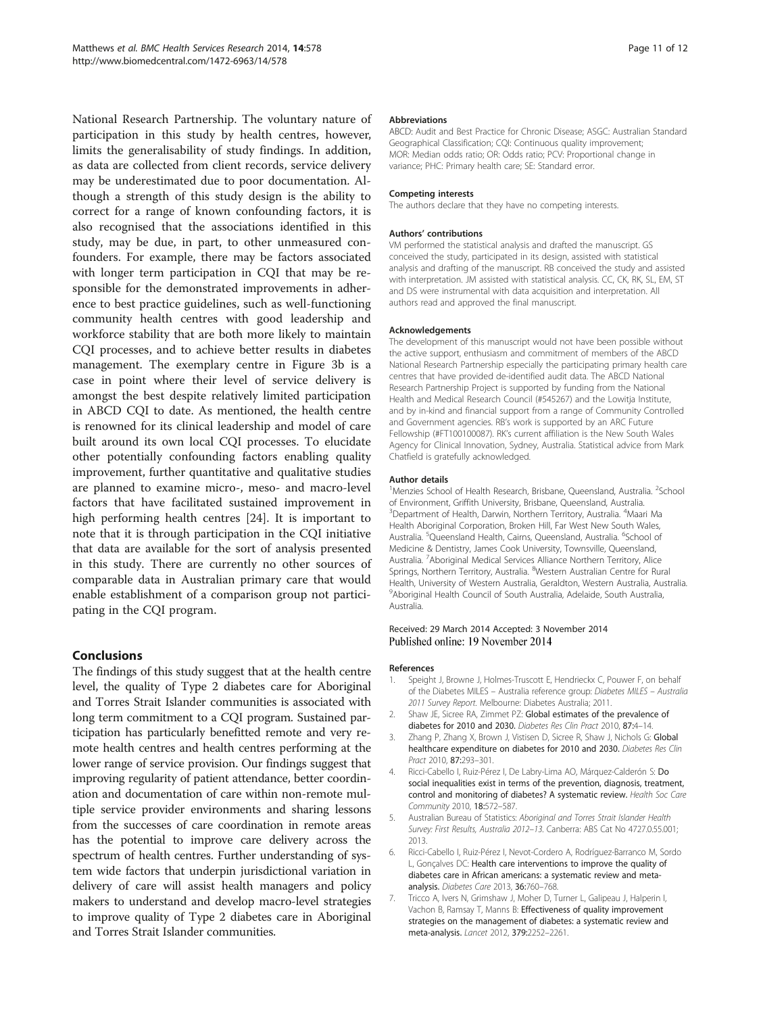<span id="page-10-0"></span>National Research Partnership. The voluntary nature of participation in this study by health centres, however, limits the generalisability of study findings. In addition, as data are collected from client records, service delivery may be underestimated due to poor documentation. Although a strength of this study design is the ability to correct for a range of known confounding factors, it is also recognised that the associations identified in this study, may be due, in part, to other unmeasured confounders. For example, there may be factors associated with longer term participation in CQI that may be responsible for the demonstrated improvements in adherence to best practice guidelines, such as well-functioning community health centres with good leadership and workforce stability that are both more likely to maintain CQI processes, and to achieve better results in diabetes management. The exemplary centre in Figure [3](#page-9-0)b is a case in point where their level of service delivery is amongst the best despite relatively limited participation in ABCD CQI to date. As mentioned, the health centre is renowned for its clinical leadership and model of care built around its own local CQI processes. To elucidate other potentially confounding factors enabling quality improvement, further quantitative and qualitative studies are planned to examine micro-, meso- and macro-level factors that have facilitated sustained improvement in high performing health centres [[24\]](#page-11-0). It is important to note that it is through participation in the CQI initiative that data are available for the sort of analysis presented in this study. There are currently no other sources of comparable data in Australian primary care that would enable establishment of a comparison group not participating in the CQI program.

# Conclusions

The findings of this study suggest that at the health centre level, the quality of Type 2 diabetes care for Aboriginal and Torres Strait Islander communities is associated with long term commitment to a CQI program. Sustained participation has particularly benefitted remote and very remote health centres and health centres performing at the lower range of service provision. Our findings suggest that improving regularity of patient attendance, better coordination and documentation of care within non-remote multiple service provider environments and sharing lessons from the successes of care coordination in remote areas has the potential to improve care delivery across the spectrum of health centres. Further understanding of system wide factors that underpin jurisdictional variation in delivery of care will assist health managers and policy makers to understand and develop macro-level strategies to improve quality of Type 2 diabetes care in Aboriginal and Torres Strait Islander communities.

#### Abbreviations

ABCD: Audit and Best Practice for Chronic Disease; ASGC: Australian Standard Geographical Classification; CQI: Continuous quality improvement; MOR: Median odds ratio; OR: Odds ratio; PCV: Proportional change in variance; PHC: Primary health care; SE: Standard error.

#### Competing interests

The authors declare that they have no competing interests.

#### Authors' contributions

VM performed the statistical analysis and drafted the manuscript. GS conceived the study, participated in its design, assisted with statistical analysis and drafting of the manuscript. RB conceived the study and assisted with interpretation. JM assisted with statistical analysis. CC, CK, RK, SL, EM, ST and DS were instrumental with data acquisition and interpretation. All authors read and approved the final manuscript.

#### Acknowledgements

The development of this manuscript would not have been possible without the active support, enthusiasm and commitment of members of the ABCD National Research Partnership especially the participating primary health care centres that have provided de-identified audit data. The ABCD National Research Partnership Project is supported by funding from the National Health and Medical Research Council (#545267) and the Lowitja Institute, and by in-kind and financial support from a range of Community Controlled and Government agencies. RB's work is supported by an ARC Future Fellowship (#FT100100087). RK's current affiliation is the New South Wales Agency for Clinical Innovation, Sydney, Australia. Statistical advice from Mark Chatfield is gratefully acknowledged.

#### Author details

<sup>1</sup>Menzies School of Health Research, Brisbane, Queensland, Australia. <sup>2</sup>School of Environment, Griffith University, Brisbane, Queensland, Australia. <sup>3</sup>Department of Health, Darwin, Northern Territory, Australia. <sup>4</sup>Maari Ma Health Aboriginal Corporation, Broken Hill, Far West New South Wales, Australia. <sup>5</sup>Queensland Health, Cairns, Queensland, Australia. <sup>6</sup>School of Medicine & Dentistry, James Cook University, Townsville, Queensland, Australia. <sup>7</sup> Aboriginal Medical Services Alliance Northern Territory, Alice Springs, Northern Territory, Australia. <sup>8</sup>Western Australian Centre for Rural Health, University of Western Australia, Geraldton, Western Australia, Australia. <sup>9</sup> Aboriginal Health Council of South Australia, Adelaide, South Australia Australia.

#### Received: 29 March 2014 Accepted: 3 November 2014 Published online: 19 November 2014

#### References

- 1. Speight J, Browne J, Holmes-Truscott E, Hendrieckx C, Pouwer F, on behalf of the Diabetes MILES – Australia reference group: Diabetes MILES – Australia 2011 Survey Report. Melbourne: Diabetes Australia; 2011.
- 2. Shaw JE, Sicree RA, Zimmet PZ: Global estimates of the prevalence of diabetes for 2010 and 2030. Diabetes Res Clin Pract 2010, 87:4–14.
- 3. Zhang P, Zhang X, Brown J, Vistisen D, Sicree R, Shaw J, Nichols G: Global healthcare expenditure on diabetes for 2010 and 2030. Diabetes Res Clin Pract 2010, 87:293–301.
- 4. Ricci-Cabello I, Ruiz-Pérez I, De Labry-Lima AO, Márquez-Calderón S: Do social inequalities exist in terms of the prevention, diagnosis, treatment, control and monitoring of diabetes? A systematic review. Health Soc Care Community 2010, 18:572–587.
- 5. Australian Bureau of Statistics: Aboriginal and Torres Strait Islander Health Survey: First Results, Australia 2012–13. Canberra: ABS Cat No 4727.0.55.001; 2013.
- 6. Ricci-Cabello I, Ruiz-Pérez I, Nevot-Cordero A, Rodríguez-Barranco M, Sordo L, Gonçalves DC: Health care interventions to improve the quality of diabetes care in African americans: a systematic review and metaanalysis. Diabetes Care 2013, 36:760–768.
- 7. Tricco A, Ivers N, Grimshaw J, Moher D, Turner L, Galipeau J, Halperin I, Vachon B, Ramsay T, Manns B: Effectiveness of quality improvement strategies on the management of diabetes: a systematic review and meta-analysis. Lancet 2012, 379:2252–2261.